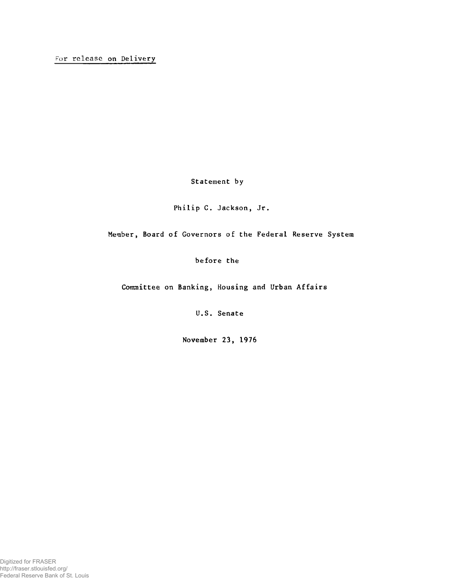Statement by

Philip C. Jackson, Jr.

Member, Board of Governors of the Federal Reserve System

before the

Committee on Banking, Housing and Urban Affairs

U.S. Senate

November 23, 1976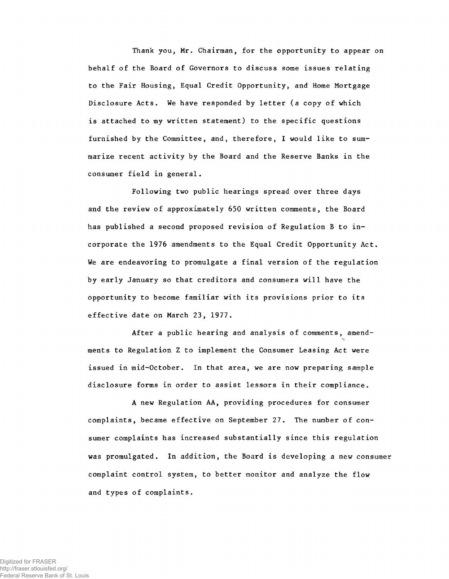**Thank you, Mr. Chairman, for the opportunity to appear on behalf of the Board of Governors to discuss some issues relating to the Fair Housing, Equal Credit Opportunity, and Home Mortgage Disclosure Acts. We have responded by letter (a copy of which is attached to my written statement) to the specific questions furnished by the Committee, and, therefore, I would like to summarize recent activity by the Board and the Reserve Banks in the consumer field in general.**

**Following two public hearings spread over three days and the review of approximately 650 written comments, the Board has published a second proposed revision of Regulation B to incorporate the 1976 amendments to the Equal Credit Opportunity Act. We are endeavoring to promulgate a final version of the regulation by early January so that creditors and consumers will have the opportunity to become familiar with its provisions prior to its effective date on March 23, 1977.**

**After a public hearing and analysis of comments, amendments to Regulation Z to implement the Consumer Leasing Act were issued in mid-October. In that area, we are now preparing sample disclosure forms in order to assist lessors in their compliance.**

**A new Regulation AA, providing procedures for consumer complaints, became effective on September 27. The number of consumer complaints has increased substantially since this regulation was promulgated. In addition, the Board is developing a new consumer complaint control system, to better monitor and analyze the flow and types of complaints.**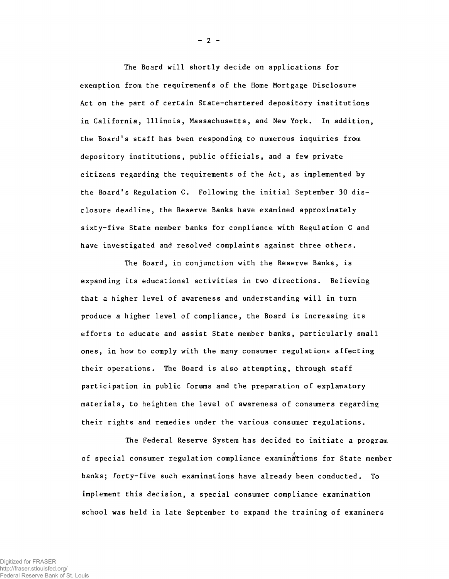The Board will shortly decide on applications for exemption from the requirements of the Home Mortgage Disclosure Act on the part of certain State-chartered depository institutions in California, Illinois, Massachusetts, and New York. In addition, the Board's staff has been responding to numerous inquiries from depository institutions, public officials, and a few private citizens regarding the requirements of the Act, as implemented by the Board's Regulation C. Following the initial September 30 disclosure deadline, the Reserve Banks have examined approximately sixty-five State member banks for compliance with Regulation C and have investigated and resolved complaints against three others.

The Board, in conjunction with the Reserve Banks, is expanding its educational activities in two directions. Believing that a higher level of awareness and understanding will in turn produce a higher level of compliance, the Board is increasing its efforts to educate and assist State member banks, particularly small ones, in how to comply with the many consumer regulations affecting their operations. The Board is also attempting, through sta ff participation in public forums and the preparation of explanatory materials, to heighten the level of awareness of consumers regarding their rights and remedies under the various consumer regulations.

The Federal Reserve System has decided to initiate a program of special consumer regulation compliance examinations for State member banks; forty-five such examinations have already been conducted. To implement this decision, a special consumer compliance examination school was held in late September to expand the training of examiners

**- 2 -**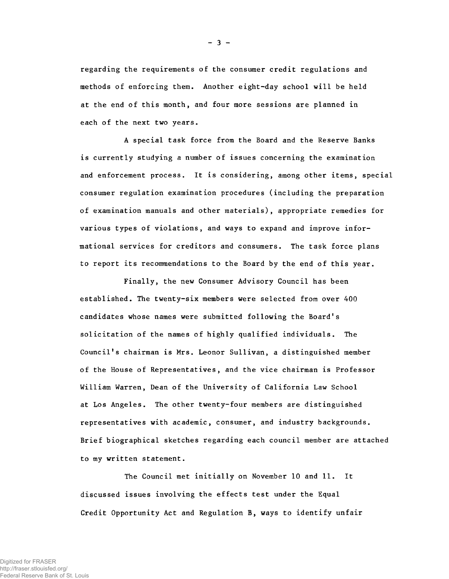regarding the requirements of the consumer credit regulations and methods of enforcing them. Another eight-day school will be held at the end of this month, and four more sessions are planned in each of the next two years.

A special task force from the Board and the Reserve Banks is currently studying a number of issues concerning the examination and enforcement process. It is considering, among other items, special consumer regulation examination procedures (including the preparation of examination manuals and other materials), appropriate remedies for various types of violations, and ways to expand and improve informational services for creditors and consumers. The task force plans to report its recommendations to the Board by the end of this year.

Finally, the new Consumer Advisory Council has been established. The twenty-six members were selected from over 400 candidates whose names were submitted following the Board's solicitation of the names of highly qualified individuals. The Council's chairman is Mrs. Leonor Sullivan, a distinguished member of the House of Representatives, and the vice chairman is Professor William Warren, Dean of the University of California Law School at Los Angeles. The other twenty-four members are distinguished representatives with academic, consumer, and industry backgrounds. Brief biographical sketches regarding each council member are attached to my written statement.

The Council met initially on November 10 and 11. It discussed issues involving the effects test under the Equal Credit Opportunity Act and Regulation B, ways to identify unfair

**- 3 -**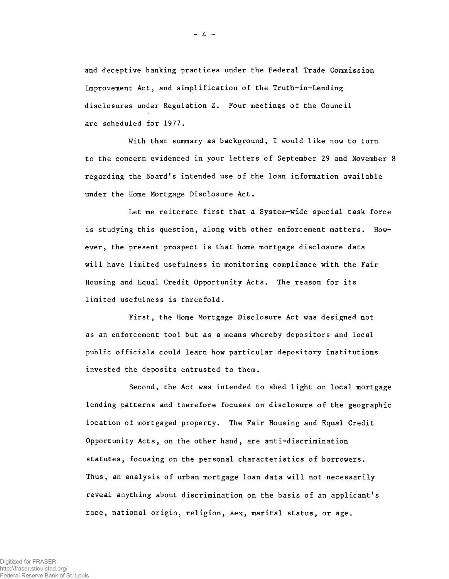**and deceptive banking practices under the Federal Trade Commission Improvement Act, and simplification of the Truth-in-Lending disclosures under Regulation Z. Four meetings of the Council are scheduled for 1977.**

**With that summary as background, I would like now to turn to the concern evidenced in your letters of September 29 and November 8 regarding the Board's intended use of the loan information available under the Home Mortgage Disclosure Act.**

**Let me reiterate first that a System-wide special task force is studying this question, along with other enforcement matters. However, the present prospect is that home mortgage disclosure data will have limited usefulness in monitoring compliance with the Fair Housing and Equal Credit Opportunity Acts. The reason for its limited usefulness is threefold.**

**First, the Home Mortgage Disclosure Act was designed not as an enforcement tool but as a means whereby depositors and local public officials could learn how particular depository institutions invested the deposits entrusted to them.**

**Second, the Act was intended to shed light on local mortgage lending patterns and therefore focuses on disclosure of the geographic location of mortgaged property. The Fair Housing and Equal Credit Opportunity Acts, on the other hand, are anti-discrimination statutes, focusing on the personal characteristics of borrowers. Thus, an analysis of urban mortgage loan data will not necessarily reveal anything about discrimination on the basis of an applicant's race, national origin, religion, sex, marital status, or age.**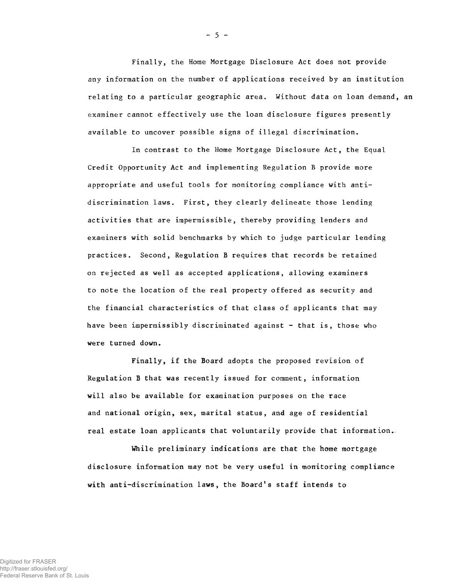**Finally, the Home Mortgage Disclosure Act does not provide any information on the number of applications received by an institution relating to a particular geographic area. Without data on loan demand, an examiner cannot effectively use the loan disclosure figures presently available to uncover possible signs of illegal discrimination.**

**In contrast to the Home Mortgage Disclosure Act, the Equal Credit Opportunity Act and implementing Regulation B provide more appropriate and useful tools for monitoring compliance with antidiscrimination laws. First, they clearly delineate those lending activities that are impermissible, thereby providing lenders and examiners with solid benchmarks by which to judge particular lending practices. Second, Regulation B requires that records be retained on rejected as well as accepted applications, allowing examiners to note the location of the real property offered as security and the financial characteristics of that class of applicants that may have been impermissibly discriminated against - that is, those who were turned down.**

**Finally, if the Board adopts the proposed revision of Regulation B that was recently issued for comment, information will also be available for examination purposes on the race and national origin, sex, marital status, and age of residential real estate loan applicants that voluntarily provide that information..**

**While preliminary indications are that the home mortgage disclosure information may not be very useful in monitoring compliance with anti-discrimination laws, the Board's staff intends to**

**- 5 -**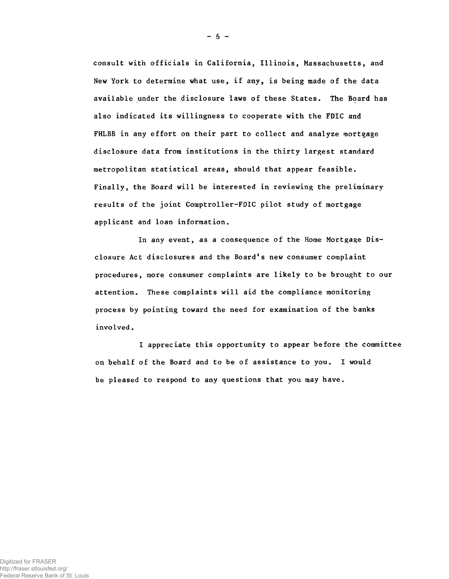consult with officials in California, Illinois, Massachusetts, and New York to determine what use, if any, is being made of the data available under the disclosure laws of these States. The Board has also indicated its willingness to cooperate with the FDIC and FHLBB in any effort on their part to collect and analyze mortgage disclosure data from institutions in the thirty largest standard metropolitan statistical areas, should that appear feasible. Finally, the Board will be interested in reviewing the preliminary results of the joint Comptroller-FDIC pilot study of mortgage applicant and loan information.

In any event, as a consequence of the Home Mortgage Disclosure Act disclosures and the Board's new consumer complaint procedures, more consumer complaints are likely to be brought to our attention. These complaints will aid the compliance monitoring process by pointing toward the need for examination of the banks involved.

I appreciate this opportunity to appear before the committee on behalf of the Board and to be of assistance to you. I would be pleased to respond to any questions that you may have.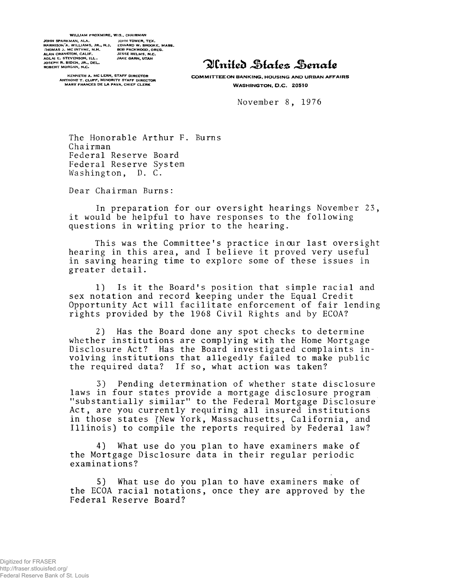#### WILLIAM PROXMIRE, WIS., CHAIRMAN

JOHN SPARKMAN, ALA.<br>HARRISON´A. WILLIAMS, JR., N.J.<br>FHOMAS 3. MC INTYNE, N.H.<br>ALAN CRANSTON, CALIF.<br>ADLAI E. STEVENSON, ILL.<br>JOSEPH R. BIDEN, JR., DEL. **ROBERT MORGAN, N.C.** 

JESSE HELMS, N.C.<br>JAKE GARN, UTAH JOHN **TOWER, TEX.**<br>EDWARD W. BROOKE, MASS.<br>BOB PACKWOOD, OREG.

**KENNETH A. MC LEAN, STAFF DIRECTOR ANTHONY T. CLUFF, MINORITY STAFF DIRECTOR MARY FRANCES DE LA PAVA, CHIEF CLERK** 

# Plnited Hates Henate

**COMMITTEE ON BANKING, HOUSING AND URBAN AFFAIRS WASHINGTON, D.C. 20510** 

**November 8, 1976**

**The Honorable Arthur F. Burns Chairman Federal Reserve Board Federal Reserve System Washington, D. C.**

**Dear Chairman Burns:**

**In preparation for our oversight hearings November 23, it would be helpful to have responses to the following questions in writing prior to the hearing.**

**This was the Committee's practice in our last oversight hearing in this area, and I believe it proved very useful in saving hearing time to explore some of these issues in greater detail.**

**1) Is it the Board's position that simple racial and sex notation and record keeping under the Equal Credit Opportunity Act will facilitate enforcement of fair lending rights provided by the 1968 Civil Rights and by ECOA?**

**2) Has the Board done any spot checks to determine whether institutions are complying with the Home Mortgage Disclosure Act? Has the Board investigated complaints involving institutions that allegedly failed to make public the required data? If so, what action was taken?**

**3) Pending determination of whether state disclosure laws in four states provide a mortgage disclosure program "substantially similar" to the Federal Mortgage Disclosure Act, are you currently requiring all insured institutions** in those states *(New York, Massachusetts, California, and* **Illinois) to compile the reports required by Federal law?**

**4) What use do you plan to have examiners make of the Mortgage Disclosure data in their regular periodic examinations?**

**5) What use do you plan to have examiners make of the ECOA racial notations, once they are approved by the Federal Reserve Board?**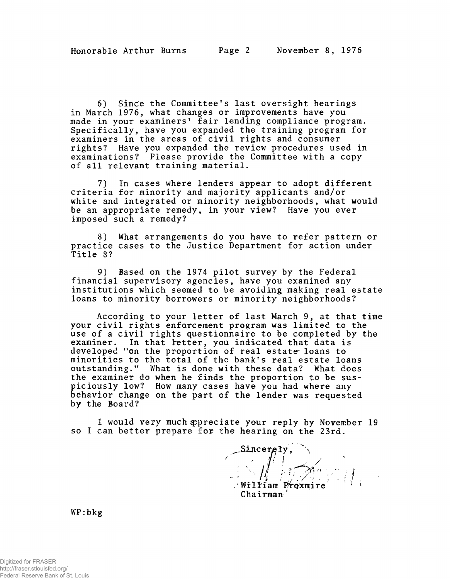**6) Since the Committee's last oversight hearings in March 1976, what changes or improvements have you made in your examiners' fair lending compliance program. Specifically, have you expanded the training program for examiners in the areas of civil rights and consumer rights? Have you expanded the review procedures used in examinations? Please provide the Committee with a copy of all relevant training material.**

**7) In cases where lenders appear to adopt different criteria for minority and majority applicants and/or white and integrated or minority neighborhoods, what would be an appropriate remedy, in your view? Have you ever imposed such a remedy?**

**8) What arrangements do you have to refer pattern or practice cases to the Justice Department for action under Title 8?**

**9) Based on the 1974 pilot survey by the Federal financial supervisory agencies, have you examined any institutions which seemed to be avoiding making real estate loans to minority borrowers or minority neighborhoods?**

**According to your letter of last March** *<sup>9</sup> ,* **at that time your civil rights enforcement program was limited to the use of a civil rights questionnaire to be completed by the examiner. In that letter, you indicated that data is developed "on the proportion of real estate- loans to minorities to the total of the bank's real estate loans outstanding." What is done with these data? What does the examiner do when he finds the proportion to be suspiciously low? How many cases have you had where any behavior change on the part of the lender was requested by the Board?**

**I would very much appreciate your reply by November 19 so I can better prepare for the hearing on the 23rd.**

Sincerely, **Chairman'**

WP:bkg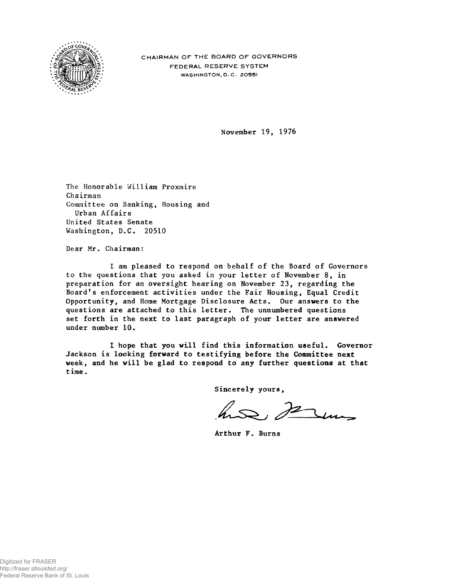

**CHAIRMAN OF THE BOARD OF GOVERNORS FEDERAL RESERVE SYSTEM** W ASHINGTON, **D. C. 20551**

November 19, 1976

The Honorable William Proxmire Chairman Committee on Banking, Housing and Urban Affairs United States Senate Washington, D.C. 20510

Dear Mr. Chairman:

I am pleased to respond on behalf of the Board of Governors to the questions that you asked in your letter of November 8, in preparation for an oversight hearing on November 23, regarding the Board's enforcement activities under the Fair Housing, Equal Credit Opportunity, and Home Mortgage Disclosure Acts. Our answers to the questions are attached to this letter. The unnumbered questions set forth in the next to last paragraph of your letter are answered under number 10.

I hope that you will find this information useful. Governor Jackson is looking forward to testifying before the Committee next week, and he will be glad to respond to any further questions at that time.

Sincerely yours,

has serme

Arthur F. Burns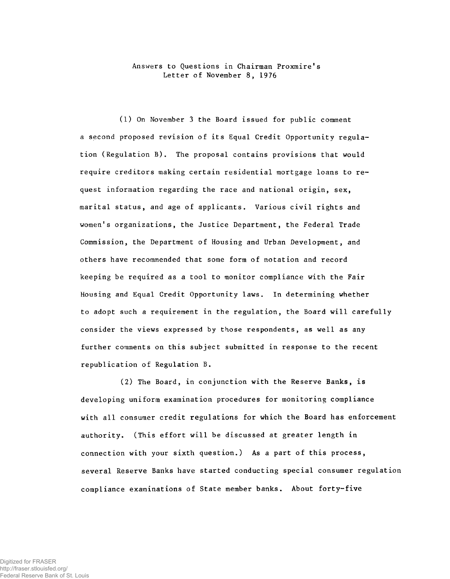**Answers to Questions in Chairman Proxmire's Letter of November 8, 1976**

**(1) On November 3 the Board issued for public comment a second proposed revision of its Equal Credit Opportunity regulation (Regulation B). The proposal contains provisions that would require creditors making certain residential mortgage loans to request information regarding the race and national origin, sex, marital status, and age of applicants. Various civil rights and women1s organizations, the Justice Department, the Federal Trade Commission, the Department of Housing and Urban Development, and others have recommended that some form of notation and record keeping be required as a tool to monitor compliance with the Fair Housing and Equal Credit Opportunity laws. In determining whether to adopt such a requirement in the regulation, the Board will carefully consider the views expressed by those respondents, as well as any further comments on this subject submitted in response to the recent republication of Regulation B.**

**(2) The Board, in conjunction with the Reserve Banks, is developing uniform examination procedures for monitoring compliance with all consumer credit regulations for which the Board has enforcement authority. (This effort will be discussed at greater length in connection with your sixth question.) As a part of this process, several Reserve Banks have started conducting special consumer regulation compliance examinations of State member banks. About forty-five**

Digitized for FRASER http://fraser.stlouisfed.org/ Federal Reserve Bank of St. Louis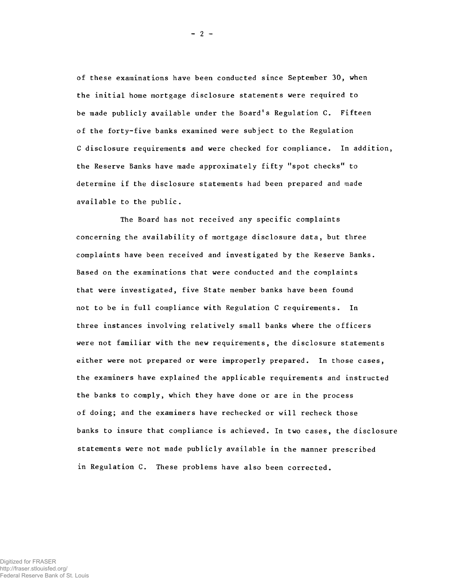**of these examinations have been conducted since September 30, when the initial home mortgage disclosure statements were required to be made publicly available under the Board1s Regulation C. Fifteen of the forty-five banks examined were subject to the Regulation C disclosure requirements and were checked for compliance. In addition,** the Reserve Banks have made approximately fifty "spot checks" to **determine if the disclosure statements had been prepared and made available to the public.**

**The Board has not received any specific complaints concerning the availability of mortgage disclosure data, but three complaints have been received and investigated by the Reserve Banks. Based on the examinations that were conducted and the complaints that were investigated, five State member banks have been found not to be in full compliance with Regulation C requirements. In three instances involving relatively small banks where the officers were not familiar with the new requirements, the disclosure statements either were not prepared or were improperly prepared. In those cases, the examiners have explained the applicable requirements and instructed the banks to comply, which they have done or are in the process of doing; and the examiners have rechecked or will recheck those banks to insure that compliance is achieved. In two cases, the disclosure statements were not made publicly available in the manner prescribed in Regulation C. These problems have also been corrected.**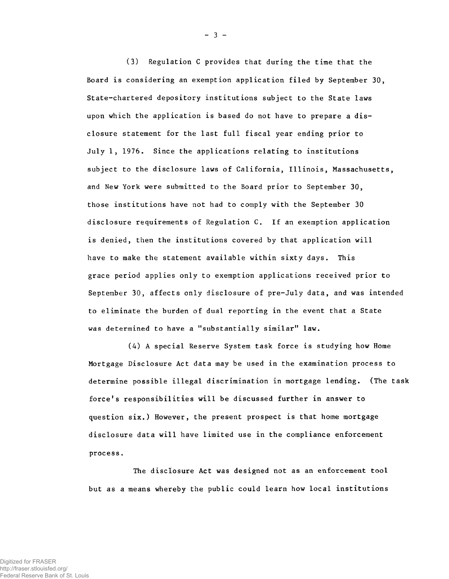**(3) Regulation C provides that during the time that the Board is considering an exemption application filed by September 30, State-chartered depository institutions subject to the State laws upon which the application is based do not have to prepare a disclosure statement for the last full fiscal year ending prior to July 1, 1976. Since the applications relating to institutions subject to the disclosure laws of California, Illinois, Massachusetts, and New York were submitted to the Board prior to September 30, those institutions have not had to comply with the September 30 disclosure requirements of Regulation C. If an exemption application is denied, then the institutions covered by that application will have to make the statement available within sixty days. This grace period applies only to exemption applications received prior to September 30, affects only disclosure of pre-July data, and was intended to eliminate the burden of dual reporting in the event that a State** was determined to have a "substantially similar" law.

**(4) A special Reserve System task force is studying how Home Mortgage Disclosure Act data may be used in the examination process to determine possible illegal discrimination in mortgage lending. (The task force's responsibilities will be discussed further in answer to question six.) However, the present prospect is that home mortgage disclosure data will have limited use in the compliance enforcement process.**

**The disclosure Act was designed not as an enforcement tool but as a means whereby the public could learn how local institutions**

**- 3 -**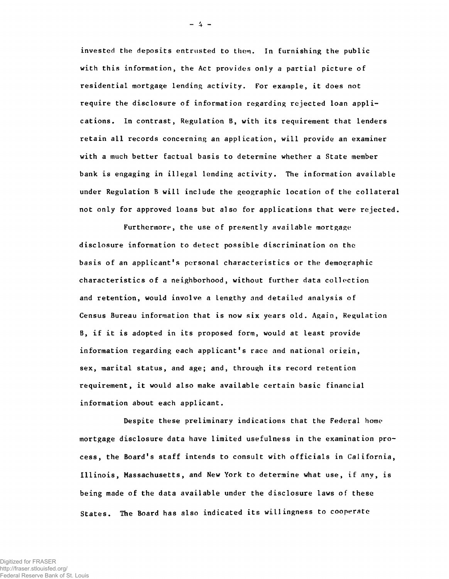invested the deposits entrusted to them. In furnishing the public with this information, the Act provides only a partial picture of residential mortgage lending activity. For example, it does not require the disclosure of information regarding rejected loan applications. In contrast, Regulation B, with its requirement that lenders retain all records concerning an application, will provide an examiner with a much better factual basis to determine whether a State member bank is engaging in illegal lending activity. The information available under Regulation B will include the geographic location of the collateral not only for approved loans but also for applications that were rejected.

Furthermore, the use of presently available mortgage disclosure information to detect possible discrimination on the basis of an applicant's personal characteristics or the demographic characteristics of a neighborhood, without further data collection and retention, would involve a lengthy and detailed analysis of Census Bureau information that is now six years old . Again, Regulation B, if it is adopted in its proposed form, would at least provide information regarding each applicant's race and national oriein , sex, marital status, and age; and, through its record retention requirement, it would also make available certain basic financial information about each applicant.

Despite these preliminary indications that the Federal home mortgage disclosure data have limited usefulness in the examination process, the Board's staff intends to consult with officials in California, Illinois, Massachusetts, and New York to determine what use, if any, is being made of the data available under the disclosure laws of these States. The Board has also indicated its willingness to cooperate

Digitized for FRASER http://fraser.stlouisfed.org/ Federal Reserve Bank of St. Louis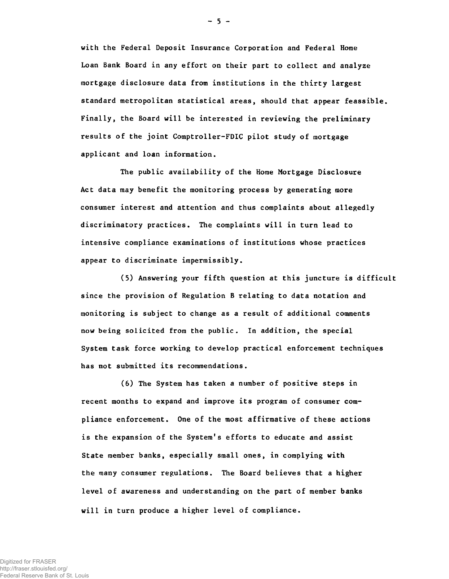with the Federal Deposit Insurance Corporation and Federal Home Loan Bank Board in any effort on their part to collect and analyze mortgage disclosure data from institutions in the thirty largest standard metropolitan statistical areas, should that appear feassible. Finally, the Board will be interested in reviewing the preliminary results of the joint Comptroller-FDIC pilot study of mortgage applicant and loan information.

The public availability of the Home Mortgage Disclosure Act data may benefit the monitoring process by generating more consumer interest and attention and thus complaints about allegedly discriminatory practices. The complaints will in turn lead to intensive compliance examinations of institutions whose practices appear to discriminate impermissibly.

(5) Answering your fifth question at this juncture is difficult since the provision of Regulation B relating to data notation and monitoring is subject to change as a result of additional comments now being solicited from the public. In addition, the special System task force working to develop practical enforcement techniques has not submitted its recommendations.

(6) The System has taken a number of positive steps in recent months to expand and improve its program of consumer compliance enforcement. One of the most affirmative of these actions is the expansion of the System's efforts to educate and assist State member banks, especially small ones, in complying with the many consumer regulations. The Board believes that a higher level of awareness and understanding on the part of member banks will in turn produce a higher level of compliance.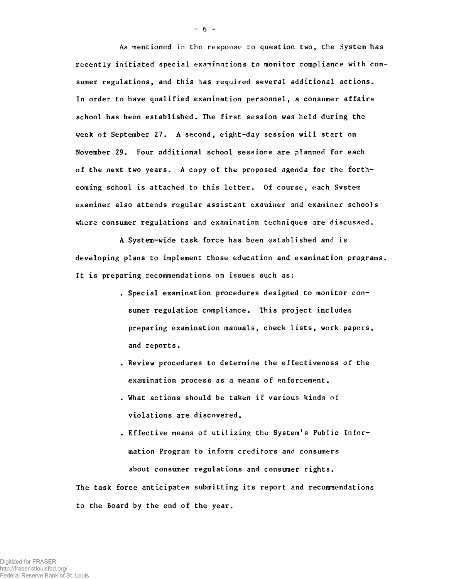As mentioned in the response to question two, the System has recently initiated special examinations to monitor compliance with consumer regulations, and this has required several additional actions. In order to have qualified examination personnel, a consumer affairs school has been established. The first session was held during the week of September 27. A second, eight-day session will start on November 29. Four additional school sessions are planned for each of the next two years. A copy of the proposed agenda for the forthcoming school is attached to this letter. Of course, each Svstem examiner also attends regular assistant examiner and examiner schools where consumer regulations and examination techniques are discussed.

A System-wide task force has been established and is developing plans to implement those education and examination programs. It is preparing recommendations on issues such as:

- . Special examination procedures designed to monitor consumer regulation compliance. This project includes preparing examination manuals, check lists, work papers, and reports.
- . Review procedures to determine the effectiveness of the examination process as a means of enforcement.
- . What actions should be taken if various kinds of violations are discovered.
- . Effective means of utilizing the System's Public Information Program to inform creditors and consumers about consumer regulations and consumer rights.

The task force anticipates submitting its report and recommendations to the Board by the end of the year.

**- 6 -**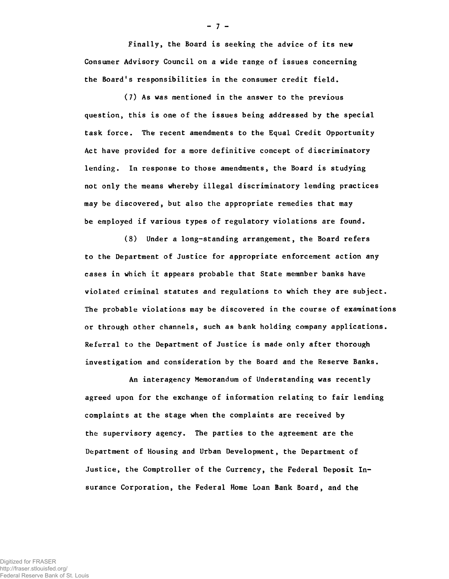Finally, the Board is seeking the advice of its new Consumer Advisory Council on a wide range of issues concerning the Board's responsibilities in the consumer credit field.

(7) As was mentioned in the answer to the previous question, this is one of the issues being addressed by the special task force. The recent amendments to the Equal Credit Opportunity Act have provided for a more definitive concept of discriminatory lending. In response to those amendments, the Board is studying not only the means whereby illegal discriminatory lending practices may be discovered, but also the appropriate remedies that may be employed if various types of regulatory violations are found.

(8) Under a long-standing arrangement, the Board refers to the Department of Justice for appropriate enforcement action any cases in which it appears probable that State memnber banks have violated criminal statutes and regulations to which they are subject. The probable violations may be discovered in the course of examinations or through other channels, such as bank holding company applications. Referral to the Department of Justice is made only after thorough investigation and consideration by the Board and the Reserve Banks.

An interagency Memorandum of Understanding was recently agreed upon for the exchange of information relating to fair lending complaints at the stage when the complaints are received by the supervisory agency. The parties to the agreement are the Department of Housing and Urban Development, the Department of Justice, the Comptroller of the Currency, the Federal Deposit Insurance Corporation, the Federal Home Loan Bank Board, and the

**- 7 -**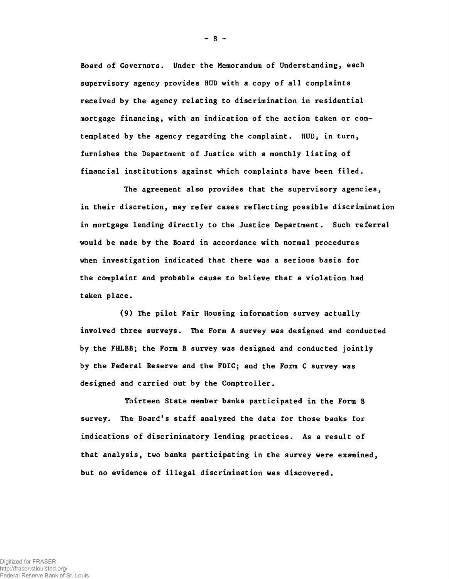Board of Governors. Under the Memorandum of Understanding, each supervisory agency provides HUD with a copy of all complaints received by the agency relating to discrimination in residential mortgage financing, with an indication of the action taken or contemplated by the agency regarding the complaint. HUD, in turn, furnishes the Department of Justice with a monthly listing of financial institutions against which complaints have been filed.

The agreement also provides that the supervisory agencies, in their discretion, may refer cases reflecting possible discrimination in mortgage lending directly to the Justice Department. Such referral would be made by the Board in accordance with normal procedures when investigation indicated that there was a serious basis for the complaint and probable cause to believe that a violation had taken place.

(9) The pilot Fair Housing information survey actually involved three surveys. The Form A survey was designed and conducted by the FHLBB; the Form B survey was designed and conducted jointly by the Federal Reserve and the FDIC; and the Form C survey was designed and carried out by the Comptroller.

Thirteen State member banks participated in the Form B survey. The Board's staff analyzed the data for those banks for indications of discriminatory lending practices. As a result of that analysis, two banks participating in the survey were examined, but no evidence of illegal discrimination was discovered.

**- 8 -**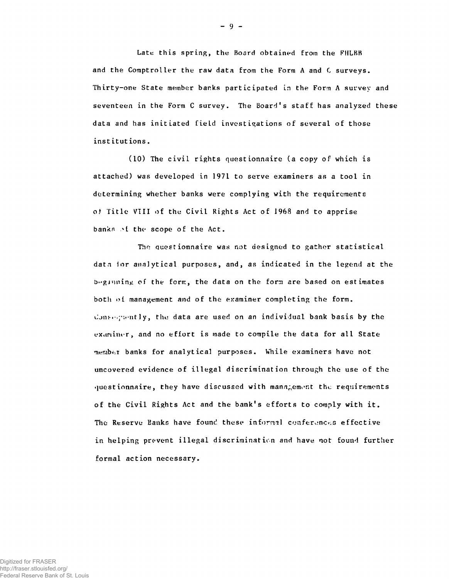Late this spring, the Board obtained from the FIILBB and the Comptroller the raw data from the Form A and C surveys. Thirty-one State member banks participated in the Form A survey and seventeen in the Form C survey. The Board's staff has analyzed these data and has initiated field investigations of several of those institutions.

 $(10)$  The civil rights questionnaire (a copy of which is attached) was developed in 1971 to serve examiners as a tool in determining whether banks were complying with the requirements *of* T itle VIII of the C ivil Rights Act o f 1968 and to apprise banks of the scope of the Act.

The questionnaire was not designed to gather statistical data ior analytical purposes, and, as indicated in the legend at the beginning of the form, the data on the form are based on estimates both of management and of the examiner completing the form. donsequently, the data are used on an individual bank basis by the examiner, and no effort is made to compile the data for all State member banks for analytical purposes. While examiners have not uncovered evidence of illegal discrimination through the use of the questionnaire, they have discussed with management the requirements of the Civil Rights Act and the bank's efforts to comply with it. The Reserve Banks have found these informal conferences effective in helping prevent illegal discrimination and have not found further formal action necessary.

**- 9 -**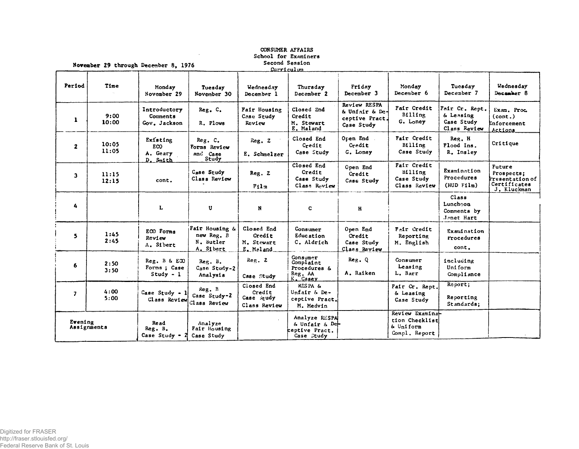| Second Session<br>November 29 through December 8, 1976<br>Curriculum |                |                                                |                                                        |                                                    |                                                                   |                                                                |                                                                 |                                                           |                                                                        |
|----------------------------------------------------------------------|----------------|------------------------------------------------|--------------------------------------------------------|----------------------------------------------------|-------------------------------------------------------------------|----------------------------------------------------------------|-----------------------------------------------------------------|-----------------------------------------------------------|------------------------------------------------------------------------|
| Period                                                               | Time           | Monday<br>November 29                          | Tuesday<br>November 30                                 | Wednesday<br>December 1                            | Thursday<br>December 2                                            | Friday<br>December 3                                           | Monday<br>December 6                                            | Tuesday<br>December 7                                     | Wednesday<br>December 8                                                |
| $\mathbf{1}$                                                         | 9:00<br>10:00  | Introductory<br>Comments<br>Gov. Jackson       | Reg. C.<br>R. Plows                                    | Fair Housing<br>Case Study<br>Review               | Closed End<br>Credit<br>M. Stewart<br>E. Maland                   | Review RESPA<br>& Unfair & De-<br>ceptive Pract.<br>Case Study | Fair Credit<br>Billing<br>G. Loney                              | Fair Cr. Rept.<br>& Leasing<br>Case Study<br>Class Review | Exam. Proc.<br>(cont.)<br>Enforcement<br>Actions                       |
| $\mathbf{z}$                                                         | 10:05<br>11:05 | Existing<br><b>ECO</b><br>A. Geary<br>D. Smith | Reg. C.<br>Forms Review<br>and Case<br>Study           | Reg. Z<br>E. Schnelzer                             | Closed End<br>Credit<br>Case Study                                | Open End.<br>Credit<br>G. Loney                                | Fair Credit<br>Billing<br>Case Study                            | Reg. H<br>Flood Ins.<br>R. Insley                         | Critique                                                               |
| 3                                                                    | 11:15<br>12:15 | cont.                                          | Case Study<br>Class Review                             | Reg. Z<br>F11n                                     | Closed End<br>Credit<br>Case Study<br>Class Roview                | Open End<br>Credit<br>Case Study                               | Fair Credit<br>B111ng<br>Case Study<br>Class Review             | Examination<br>Procedures<br>$(HUD$ $F1Im)$               | Future<br>Prospects;<br>Presentation of<br>Certificates<br>J. Kluckman |
| 4                                                                    |                | L                                              | U                                                      | N                                                  | $\mathbf C$                                                       | H                                                              |                                                                 | Class<br>Luncheon<br>Comments by<br>Janet Hart            |                                                                        |
| 5                                                                    | 1:45<br>2:45   | ECO Forms<br>Review<br>A. Sibert               | Fair Housing &<br>new Reg. B<br>N. Butler<br>A. Sibert | Closed End<br>Credit<br>M. Stewart<br>E. Maland    | Consumer<br>Education<br>C. Aldrich                               | Open End<br>Credit<br>Case Study<br>Class Review               | Fair Credit<br>Reporting<br>M. English                          | Examination<br>Procedures<br>cont.                        |                                                                        |
| 6                                                                    | 2:50<br>3:50   | Reg. B & ECO<br>Forms ; Case<br>$Study - 1$    | Reg. B.<br>Case Study-2<br>Analysis                    | Reg. Z<br>Case Study                               | Consumer<br>Complaint<br>Procedures &<br>Reg. AA<br>K. Casey      | Reg. Q<br>A. Raiken                                            | Consumer<br>Leasing<br>L. Barr                                  | including<br>Uniform<br>Compliance                        |                                                                        |
| $\overline{\mathbf{z}}$                                              | 4:00<br>5:00   | Case Study - 1<br>Class Review                 | Reg. B<br>Case Study-2<br>Class Review                 | Closed End<br>Credit<br>Case Study<br>Class Review | <b>RESPA &amp;</b><br>Unfair & De-<br>ceptive Pract.<br>M. Medvin |                                                                | Fair Cr. Rept.<br>& Leasing<br>Case Study                       | Report;<br>Reporting<br>Standards:                        |                                                                        |
| Evening<br>Assignments                                               |                | <b>Read</b><br>Reg. B.<br>Case Study -         | Analyze<br>Fair Housing<br>Case Study                  |                                                    | Analyze RESPA<br>6 Unfair & De-<br>ceptive Pract.<br>Case Study   |                                                                | Review Examina-<br>tion Checklist<br>& Uniform<br>Compl. Report |                                                           |                                                                        |

 $\sim$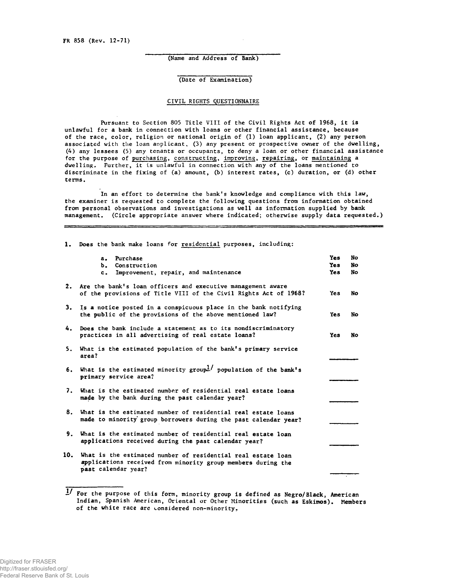(Name and Address of Bank)

(Date of Examination)

# CIVIL RIGHTS QUESTIONNAIRE

Pursuant to Section 805 Title VIII of the Civil Rights Act of 1968, it is unlawful for a bank in connection with loans or other financial assistance, because of the race, color, religion or national origin of (1) loan applicant, (2) any person associated with the loan applicant, (3) any present or prospective owner of the dwelling, (4) any lessees (5) any tenants or occupants, to deny a loan or other financial assistance for the purpose of <u>purchasing</u>, constructing, improving, repairing, or maintaining a dwelling. Further, it is unlawful in connection with any of the loans mentioned to discriminate in the fixing of (a) amount, (b) interest rates, (c) duration, or (d) other terms.

In an effort to determine the bank's knowledge and compliance with this law, the examiner is requested to complete the following questions from information obtained from personal observations and investigations as well as information supplied by bank management. (Circle appropriate answer where indicated; otherwise supply data requested.)

1. Does the bank make loans for residential purposes, including:

|     | Purchase<br>a <sub>z</sub>                                                                                                                          | Yes        | No |
|-----|-----------------------------------------------------------------------------------------------------------------------------------------------------|------------|----|
|     | Ъ.<br>Construction                                                                                                                                  | <b>Yes</b> | No |
|     | c. Improvement, repair, and maintenance                                                                                                             | Yes        | No |
|     | 2. Are the bank's loan officers and executive management aware<br>of the provisions of Title VIII of the Civil Rights Act of 1968?                  | Yes.       | No |
| 3.  | Is a notice posted in a conspicuous place in the bank notifying<br>the public of the provisions of the above mentioned law?                         | <b>Yes</b> | No |
| 4.  | Does the bank include a statement as to its nondiscriminatory<br>practices in all advertising of real estate loans?                                 | Yes        | No |
| 5.  | What is the estimated population of the bank's primary service<br>area?                                                                             |            |    |
|     | 6. What is the estimated minority group <sup>1</sup> / population of the bank's<br>primary service area?                                            |            |    |
| 7.  | What is the estimated number of residential real estate loans<br>made by the bank during the past calendar year?                                    |            |    |
| 8.  | What is the estimated number of residential real estate loans<br>made to minority group borrowers during the past calendar year?                    |            |    |
| 9.  | What is the estimated number of residential real estate loan<br>applications received during the past calendar year?                                |            |    |
| 10. | What is the estimated number of residential real estate loan<br>applications received from minority group members during the<br>past calendar year? |            |    |

*<sup>•</sup>J* For the purpose of this form, minority group is defined as Negro/Black, American Indian, Spanish American, Oriental or Other Minorities (such as Eskimos). Members of the white race are considered non-minority.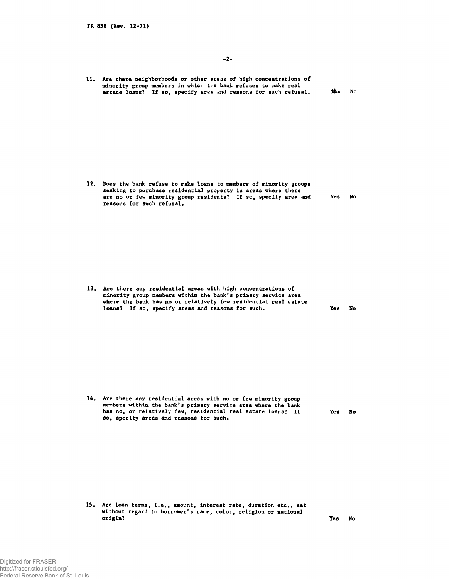| 11. | Are there neighborhoods or other areas of high concentrations of<br>minority group members in which the bank refuses to make real<br>estate loans? If so, specify area and reasons for such refusal. | th. | No |
|-----|------------------------------------------------------------------------------------------------------------------------------------------------------------------------------------------------------|-----|----|
|     |                                                                                                                                                                                                      |     |    |

12. Does the bank refuse to make loans to members of minority groups seeking to purchase residential property in areas where there are no or few minority group residents? If so, specify area and Yes No reasons for such refusal.

13. Are there any residential areas with high concentrations of minority group members within the bank's primary service area where the bank has no or relatively few residential real estate loans? If so, specify areas and reasons for such. **The Supersy Reading State Inc.** Yes No

14. Are there any residential areas with no or few minority group members within the bank's primary service area where the bank has no, or relatively few, residential real estate loans? If Yes No so, specify areas and reasons for such.

15. Are loan terms, i.e., amount, interest rate, duration etc., set without regard to borrower's race, color, religion or national origin? Yes Note also have not a set of the set of the set of the set of the set of the set of the set of the s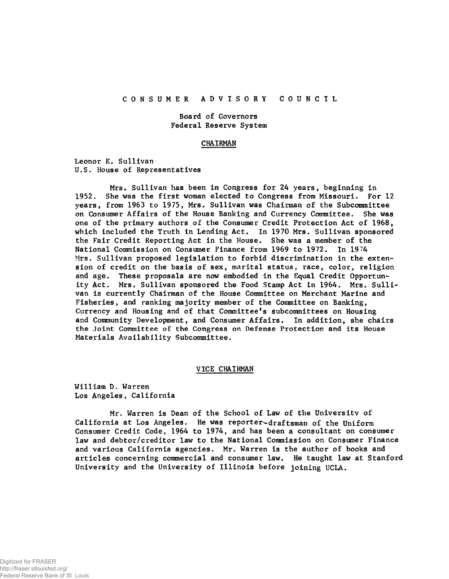# CONSUMER ADVISORY COUNCIL

# Board of Governors Federal Reserve System

### **CHAIRMAN**

Leonor K. Sullivan U.S. House of Representatives

Mrs. Sullivan has been in Congress for 24 years, beginning in 1952. She was the first woman elected to Congress from Missouri. For 12 years, from 1963 to 1975, Mrs. Sullivan was Chairman of the Subcommittee on Consumer A ffairs of the House Banking and Currency Committee. She was one of the primary authors of the Consumer Credit Protection Act of 1968, which included the Truth in Lending Act. In 1970 Mrs. Sullivan sponsored the Fair Credit Reporting Act in the House. She was a member of the National Commission on Consumer Finance from 1969 to 1972. In 19?4 Mrs. Sullivan proposed legislation to forbid discrimination in the extension of credit on the basis of sex, marital status, race, color, religion and age. These proposals are now embodied in the Equal Credit Opportunity Act. Mrs. Sullivan sponsored the Food Stamp Act in 1964. Mrs. Sullivan is currently Chairman of the House Committee on Merchant Marine and Fisheries, and ranking majority member of the Committee on Banking, Currency and Housing and of that Committee's subcommittees on Housing and Community Development, and Consumer Affairs. In addition, she chairs the Joint Committee of the Congress on Defense Protection and its House Materials Availability Subcommittee.

## VICE CHAIRMAN

William D. Warren Los Angeles, California

Mr. Warren is Dean of the School of Law of the University of California at Los Angeles. He was reporter-draftsman of the Uniform Consumer Credit Code, 1964 to 1974, and has been a consultant on consumer law and debtor/creditor law to the National Commission on Consumer Finance and various California agencies. Mr. Warren is the author of books and articles concerning commercial and consumer law. He taught law at Stanford University and the University of Illinois before joining UCLA.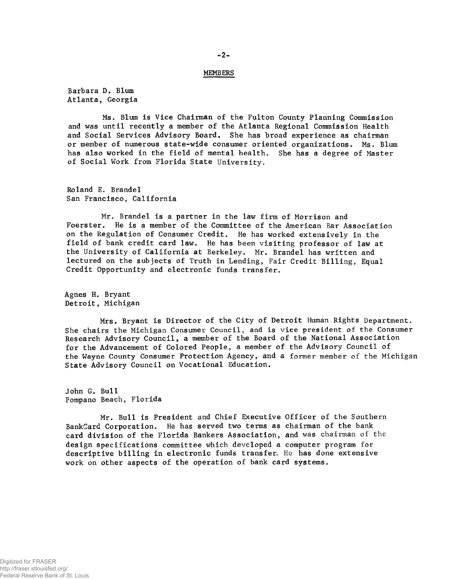## MEMBERS

Barbara D. Blum Atlanta, Georgia

Ms. Blum is Vice Chairman of the Fulton County Planning Commission and was until recently a member of the Atlanta Regional Commission Health and Social Services Advisory Board. She has broad experience as chairman or member of numerous state-wide consumer oriented organizations. Ms. Blum has also worked in the field of mental health. She has a degree of Master of Social Work from Florida State University.

Roland E. Brandel San Francisco, California

Mr. Brandel is a partner in the law firm of Morrison and Foerster. He is a member of the Committee of the American Bar As He is a member of the Committee of the American Bar Association on the Regulation of Consumer Credit. He has worked extensively in the field of bank credit card law. He has been visiting professor of law at the University of California at Berkeley. Mr. Brandel has written and lectured on the subjects of Truth in Lending, Fair Credit Billing, Equal Credit Opportunity and electronic funds transfer.

Agnes H. Bryant Detroit, Michigan

Mrs. Bryant is Director of the City of Detroit Human Rights Department. She chairs the Michigan Consumer Council, and is vice president of the Consumer Research Advisory Council, a member of the Board of the National Association for the Advancement of Colored People, a member of the Advisory Council of the Wayne County Consumer Protection Agency, and a former member of the Michigan State Advisory Council on Vocational Education.

John G. Bull Pompano Beach, Florida

Mr. Bull is President and Chief Executive Officer of the Southern BankCard Corporation. He has served two terms as chairman of the bank card division of the Florida Bankers Association, and was chairman of the design specifications committee which developed a computer program for descriptive billing in electronic funds transfer. He has done extensive work on other aspects of the operation of bank card systems.

 $-2 -$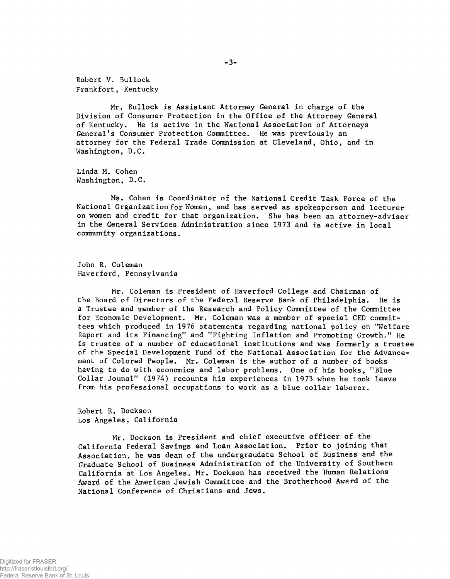Robert V. Bullock Frankfort, Kentucky

Mr. Bullock is Assistant Attorney General in charge of the Division of Consumer Protection in the Office of the Attorney General of Kentucky. He is active in the National Association of Attorneys General's Consumer Protection Committee. He was previously an attorney for the Federal Trade Commission at Cleveland, Ohio, and in Washington, D.C.

Linda M. Cohen Washington, D.C.

Ms. Cohen is Coordinator of the National Credit Task Force of the National Organization for Women, and has served as spokesperson and lecturer on women and credit for that organization. She has been an attorney-adviser in the General Services Administration since 1973 and is active in local community organizations.

John R. Coleman Haverford, Pennsylvania

Mr. Coleman is President of Haverford College and Chairman of the Board of Directors of the Federal Reserve Bank of Philadelphia. He is a Trustee and member of the Research and Policy Committee of the Committee for Economic Development. Mr. Coleman was a member of special CED committees which produced in 1976 statements regarding national policy on "Welfare Report and its Financing" and "Fighting Inflation and Promoting Growth." He is trustee of a number of educational institutions and was formerly a trustee of the Special Development Fund of the National Association for the Advancement of Colored People. Mr. Coleman is the author of a number of books having to do with economics and labor problems. One of his books, "Blue Collar Jounal" (1974) recounts his experiences in 1973 when he took leave from his professional occupations to work as a blue collar laborer.

Robert R. Dockson Los Angeles, California

Mr. Dockson is President and chief executive officer of the California Federal Savings and Loan Association. Prior to joining that Association, he was dean of the undergraudate School of Business and the Graduate School of Business Administration of the University of Southern California at Los Angeles. Mr. Dockson has received the Human Relations Award of the American Jewish Committee and the Brotherhood Award of the National Conference of Christians and Jews.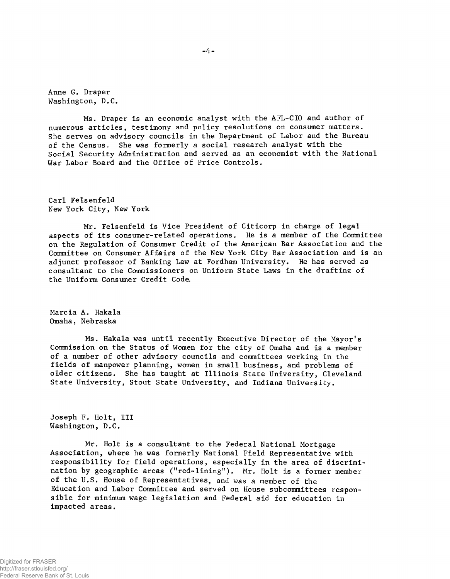**Anne G. Draper Washington, D.C.**

**Ms. Draper is an economic analyst with the AFL-CIO and author of numerous articles, testimony and policy resolutions on consumer matters. She serves on advisory councils in the Department of Labor and the Bureau of the Census. She was formerly a social research analyst with the Social Security Administration and served as an economist with the National War Labor Board and the Office of Price Controls.**

**Carl Felsenfeld New York City, New York**

**Mr. Felsenfeld is Vice President of Citicorp in charge of legal aspects of its consumer-related operations. He is a member of the Committee on the Regulation of Consumer Credit of the American Bar Association and the Committee on Consumer Affairs of the New York City Bar Association and is an adjunct professor of Banking Law at Fordham University. He has served as consultant to the Commissioners on Uniform State Laws in the draftine of the Uniform Consumer Credit Coda**

**Marcia A. Hakala Omaha, Nebraska**

**Ms. Hakala was until recently Executive Director of the Mayor's Commission on the Status of Women for the city of Omaha and is a member of a number of other advisory councils and committees working in the fields of manpower planning, women in small business, and problems of older citizens. She has taught at Illinois State University, Cleveland State University, Stout State University, and Indiana University.**

**Joseph F. Holt, III Washington, D.C.**

**Mr. Holt is a consultant to the Federal National Mortgage Association, where he was formerly National Field Representative with responsibility for field operations, especially in the area of discrimi**nation by geographic areas ("red-lining"). Mr. Holt is a former member **of the U.S. House of Representatives, and was a member of the Education and Labor Committee and served on House subcommittees responsible for minimum wage legislation and Federal aid for education in impacted areas.**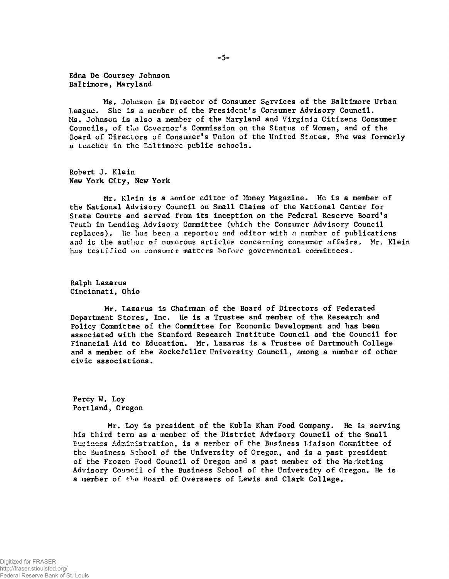Edna De Coursey Johnson Baltimore, Maryland

Ms. Johnson is Director of Consumer Services of the Baltimore Urban League. She is a member of the President's Consumer Advisory Council. Ms. Johnson is also a member of the Maryland and Virginia Citizens Consumer Councils, of the Covernor's Commission on the Status of Women, and of the Board of Directors of Consumer's Union of the United States. She was formerly a teacher in the Baltimore public schools.

Robert J. Klein New York City, New York

Mr. Klein is a senior editor of Money Magazine. He is a member of the National Advisory Council on Small Claims of the National Center for State Courts and served from its inception on the Federal Reserve Board's Truth in Lending Advisory Committee (which the Consumer Advisory Council replaces). He has been a reporter and editor with a number of publications and is the author of numerous articles concerning consumer affairs. Mr. Klein has testified on consumer matters before governmental committees.

Ralph Lazarus Cincinnati, Ohio

Mr. Lazarus is Chairman of the Board of Directors of Federated Department Stores, Inc. He is a Trustee and member of the Research and Policy Committee of the Committee for Economic Development and has been associated with the Stanford Research Institute Council and the Council for Financial Aid to Education. Mr. Lazarus is a Trustee of Dartmouth College and a member of the Rockefeller University Council, among a number of other civic associations.

Percy W. Loy Portland, Oregon

Mr. Loy is president of the Kubla Khan Food Company. He is serving his third term as a member of the District Advisory Council of the Small Business Administration, is a member of the Business Liaison Committee of the Business School of the University of Oregon, and is a past president of the Frozen Food Council of Oregon and a past member of the Marketing Advisory Council of the Business School of the University of Oregon. He is a member of the Board of Overseers of Lewis and Clark College.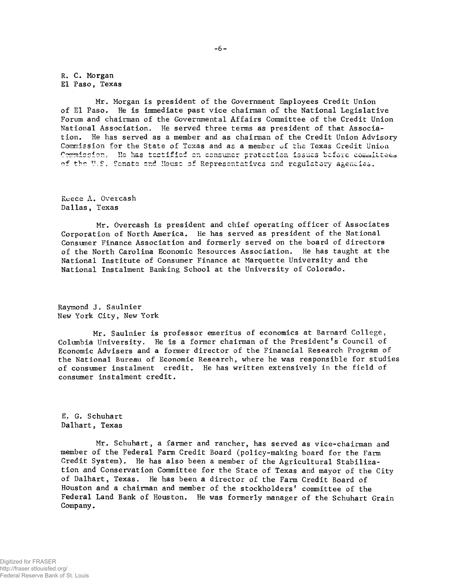**R. C. Morgan El Paso, Texas**

**Mr. Morgan is president of the Government Employees Credit Union of El Paso. He is immediate past vice chairman of the National Legislative Forum and chairman of the Governmental Affairs Committee of the Credit Union National Association, He served three terms as president of that Association. He has served as a member and as chairman of the Credit Union Advisory Commission for the State of Texas and as a member of the Texas Credit Union** Commission. He has testified on consumer protection issues before committees **of the U\*S. Senate rr.d House** *o f* **Representatives and regulatory agencies.**

**Reece A. Overcash Dallas, Texas**

**Mr. Overcash is president and chief operating officer of Associates Corporation of North America. He has served as president of the National Consumer Finance Association and formerly served on the board of directors of the North Carolina Economic Resources Association. He has taught at the National Institute of Consumer Finance at Marquette University and the National Instalment Banking School at the University of Colorado.**

**Raymond J. Saulnier New York City, New York**

**Mr. Saulnier is professor emeritus of economics at Barnard College, Columbia University. He is a former chairman of the President's Council of Economic Advisers and a former director of the Financial Research Program of the National Bureau of Economic Research, where he was responsible for studies of consumer instalment credit. He has written extensively in the field of consumer instalment credit.**

**E. G. Schuhart Dalhart, Texas**

**Mr. Schuhart, a farmer and rancher, has served as vice-chairman and member of the Federal Farm Credit Board (policy-making board for the Farm Credit System). He has also been a member of the Agricultural Stabilization and Conservation Committee for the State of Texas and mayor of the City of Dalhart, Texas. He has been a director of the Farm Credit Board of** Houston and a chairman and member of the stockholders' committee of the **Federal Land Bank of Houston. He was formerly manager of the Schuhart Grain Company.**